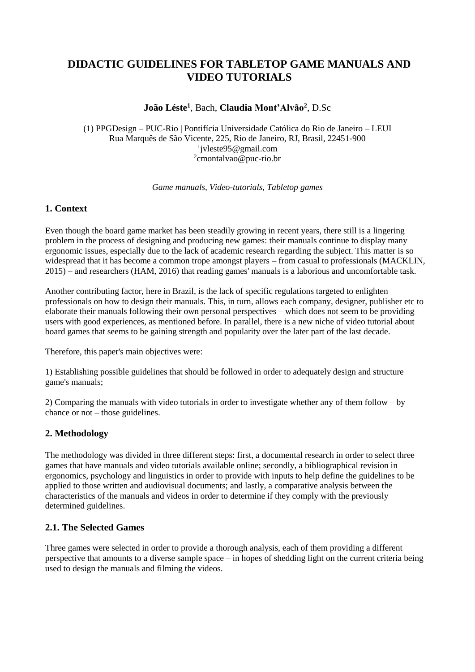# **DIDACTIC GUIDELINES FOR TABLETOP GAME MANUALS AND VIDEO TUTORIALS**

## **João Léste<sup>1</sup>** , Bach, **Claudia Mont'Alvão<sup>2</sup>** , D.Sc

(1) PPGDesign – PUC-Rio | Pontifícia Universidade Católica do Rio de Janeiro – LEUI Rua Marquês de São Vicente, 225, Rio de Janeiro, RJ, Brasil, 22451-900 1 jvleste95@gmail.com <sup>2</sup>cmontalvao@puc-rio.br

*Game manuals, Video-tutorials, Tabletop games*

### **1. Context**

Even though the board game market has been steadily growing in recent years, there still is a lingering problem in the process of designing and producing new games: their manuals continue to display many ergonomic issues, especially due to the lack of academic research regarding the subject. This matter is so widespread that it has become a common trope amongst players – from casual to professionals (MACKLIN, 2015) – and researchers (HAM, 2016) that reading games' manuals is a laborious and uncomfortable task.

Another contributing factor, here in Brazil, is the lack of specific regulations targeted to enlighten professionals on how to design their manuals. This, in turn, allows each company, designer, publisher etc to elaborate their manuals following their own personal perspectives – which does not seem to be providing users with good experiences, as mentioned before. In parallel, there is a new niche of video tutorial about board games that seems to be gaining strength and popularity over the later part of the last decade.

Therefore, this paper's main objectives were:

1) Establishing possible guidelines that should be followed in order to adequately design and structure game's manuals;

2) Comparing the manuals with video tutorials in order to investigate whether any of them follow – by chance or not – those guidelines.

### **2. Methodology**

The methodology was divided in three different steps: first, a documental research in order to select three games that have manuals and video tutorials available online; secondly, a bibliographical revision in ergonomics, psychology and linguistics in order to provide with inputs to help define the guidelines to be applied to those written and audiovisual documents; and lastly, a comparative analysis between the characteristics of the manuals and videos in order to determine if they comply with the previously determined guidelines.

### **2.1. The Selected Games**

Three games were selected in order to provide a thorough analysis, each of them providing a different perspective that amounts to a diverse sample space – in hopes of shedding light on the current criteria being used to design the manuals and filming the videos.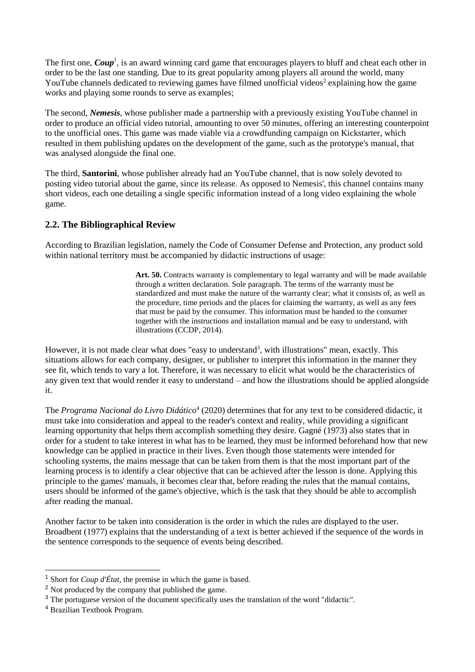The first one, *Coup<sup>1</sup>*, is an award winning card game that encourages players to bluff and cheat each other in order to be the last one standing. Due to its great popularity among players all around the world, many YouTube channels dedicated to reviewing games have filmed unofficial videos<sup>2</sup> explaining how the game works and playing some rounds to serve as examples;

The second, *Nemesis*, whose publisher made a partnership with a previously existing YouTube channel in order to produce an official video tutorial, amounting to over 50 minutes, offering an interesting counterpoint to the unofficial ones. This game was made viable via a crowdfunding campaign on Kickstarter, which resulted in them publishing updates on the development of the game, such as the prototype's manual, that was analysed alongside the final one.

The third, **Santorini**, whose publisher already had an YouTube channel, that is now solely devoted to posting video tutorial about the game, since its release. As opposed to Nemesis', this channel contains many short videos, each one detailing a single specific information instead of a long video explaining the whole game.

### **2.2. The Bibliographical Review**

According to Brazilian legislation, namely the Code of Consumer Defense and Protection, any product sold within national territory must be accompanied by didactic instructions of usage:

> Art. 50. Contracts warranty is complementary to legal warranty and will be made available through a written declaration. Sole paragraph. The terms of the warranty must be standardized and must make the nature of the warranty clear; what it consists of, as well as the procedure, time periods and the places for claiming the warranty, as well as any fees that must be paid by the consumer. This information must be handed to the consumer together with the instructions and installation manual and be easy to understand, with illustrations (CCDP, 2014).

However, it is not made clear what does "easy to understand<sup>3</sup>, with illustrations" mean, exactly. This situations allows for each company, designer, or publisher to interpret this information in the manner they see fit, which tends to vary a lot. Therefore, it was necessary to elicit what would be the characteristics of any given text that would render it easy to understand – and how the illustrations should be applied alongside it.

The *Programa Nacional do Livro Didático*<sup>4</sup> (2020) determines that for any text to be considered didactic, it must take into consideration and appeal to the reader's context and reality, while providing a significant learning opportunity that helps them accomplish something they desire. Gagné (1973) also states that in order for a student to take interest in what has to be learned, they must be informed beforehand how that new knowledge can be applied in practice in their lives. Even though those statements were intended for schooling systems, the mains message that can be taken from them is that the most important part of the learning process is to identify a clear objective that can be achieved after the lesson is done. Applying this principle to the games' manuals, it becomes clear that, before reading the rules that the manual contains, users should be informed of the game's objective, which is the task that they should be able to accomplish after reading the manual.

Another factor to be taken into consideration is the order in which the rules are displayed to the user. Broadbent (1977) explains that the understanding of a text is better achieved if the sequence of the words in the sentence corresponds to the sequence of events being described.

-

<sup>1</sup> Short for *Coup d'État*, the premise in which the game is based.

<sup>&</sup>lt;sup>2</sup> Not produced by the company that published the game.

<sup>&</sup>lt;sup>3</sup> The portuguese version of the document specifically uses the translation of the word "didactic".

<sup>4</sup> Brazilian Textbook Program.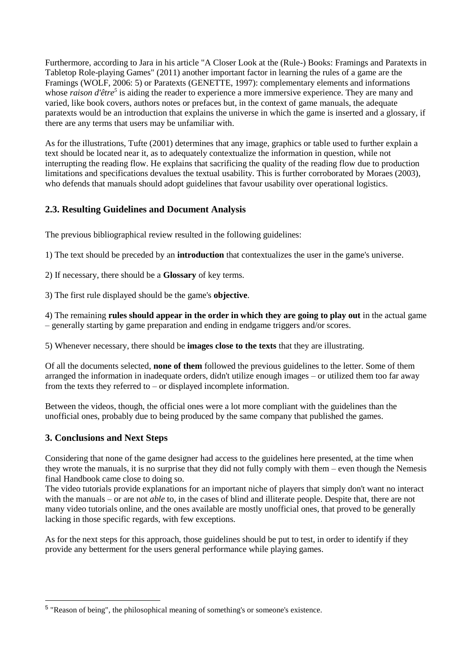Furthermore, according to Jara in his article "A Closer Look at the (Rule-) Books: Framings and Paratexts in Tabletop Role-playing Games" (2011) another important factor in learning the rules of a game are the Framings (WOLF, 2006: 5) or Paratexts (GENETTE, 1997): complementary elements and informations whose *raison d'être*<sup>5</sup> is aiding the reader to experience a more immersive experience. They are many and varied, like book covers, authors notes or prefaces but, in the context of game manuals, the adequate paratexts would be an introduction that explains the universe in which the game is inserted and a glossary, if there are any terms that users may be unfamiliar with.

As for the illustrations, Tufte (2001) determines that any image, graphics or table used to further explain a text should be located near it, as to adequately contextualize the information in question, while not interrupting the reading flow. He explains that sacrificing the quality of the reading flow due to production limitations and specifications devalues the textual usability. This is further corroborated by Moraes (2003), who defends that manuals should adopt guidelines that favour usability over operational logistics.

# **2.3. Resulting Guidelines and Document Analysis**

The previous bibliographical review resulted in the following guidelines:

1) The text should be preceded by an **introduction** that contextualizes the user in the game's universe.

2) If necessary, there should be a **Glossary** of key terms.

3) The first rule displayed should be the game's **objective**.

4) The remaining **rules should appear in the order in which they are going to play out** in the actual game – generally starting by game preparation and ending in endgame triggers and/or scores.

5) Whenever necessary, there should be **images close to the texts** that they are illustrating.

Of all the documents selected, **none of them** followed the previous guidelines to the letter. Some of them arranged the information in inadequate orders, didn't utilize enough images – or utilized them too far away from the texts they referred to – or displayed incomplete information.

Between the videos, though, the official ones were a lot more compliant with the guidelines than the unofficial ones, probably due to being produced by the same company that published the games.

### **3. Conclusions and Next Steps**

-

Considering that none of the game designer had access to the guidelines here presented, at the time when they wrote the manuals, it is no surprise that they did not fully comply with them – even though the Nemesis final Handbook came close to doing so.

The video tutorials provide explanations for an important niche of players that simply don't want no interact with the manuals – or are not *able* to, in the cases of blind and illiterate people. Despite that, there are not many video tutorials online, and the ones available are mostly unofficial ones, that proved to be generally lacking in those specific regards, with few exceptions.

As for the next steps for this approach, those guidelines should be put to test, in order to identify if they provide any betterment for the users general performance while playing games.

<sup>&</sup>lt;sup>5</sup> "Reason of being", the philosophical meaning of something's or someone's existence.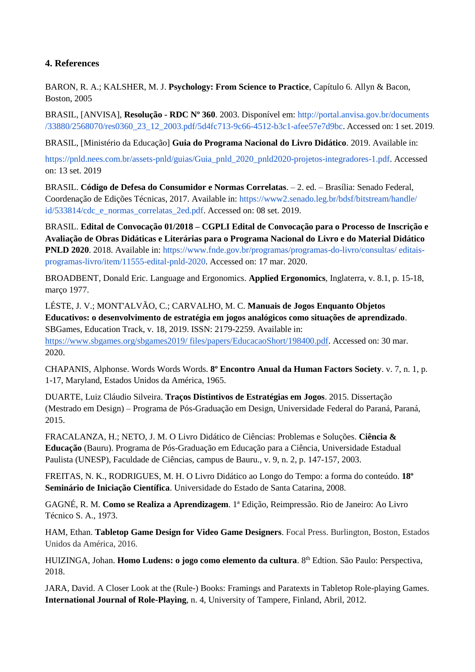# **4. References**

BARON, R. A.; KALSHER, M. J. **Psychology: From Science to Practice**, Capítulo 6. Allyn & Bacon, Boston, 2005

BRASIL, [ANVISA], **Resolução - RDC Nº 360**. 2003. Disponível em: [http://portal.anvisa.gov.br/documents](http://portal.anvisa.gov.br/documents/33880/2568070/res0360_23_12_2003.pdf/5d4fc713-9c66-4512-b3c1-afee57e7d9bc)  [/33880/2568070/res0360\\_23\\_12\\_2003.pdf/5d4fc713-9c66-4512-b3c1-afee57e7d9bc.](http://portal.anvisa.gov.br/documents/33880/2568070/res0360_23_12_2003.pdf/5d4fc713-9c66-4512-b3c1-afee57e7d9bc) Accessed on: 1 set. 2019.

BRASIL, [Ministério da Educação] **Guia do Programa Nacional do Livro Didático**. 2019. Available in:

[https://pnld.nees.com.br/assets-pnld/guias/Guia\\_pnld\\_2020\\_pnld2020-projetos-integradores-1.pdf.](https://pnld.nees.com.br/assets-pnld/guias/Guia_pnld_2020_pnld2020-projetos-integradores-1.pdf) Accessed on: 13 set. 2019

BRASIL. **Código de Defesa do Consumidor e Normas Correlatas**. – 2. ed. – Brasília: Senado Federal, Coordenação de Edições Técnicas, 2017. Available in: [https://www2.senado.leg.br/bdsf/bitstream/handle/](https://www2.senado.leg.br/bdsf/bitstream/handle/id/533814/cdc_e_normas_correlatas_2ed.pdf)  [id/533814/cdc\\_e\\_normas\\_correlatas\\_2ed.pdf.](https://www2.senado.leg.br/bdsf/bitstream/handle/id/533814/cdc_e_normas_correlatas_2ed.pdf) Accessed on: 08 set. 2019.

BRASIL. **Edital de Convocação 01/2018 – CGPLI Edital de Convocação para o Processo de Inscrição e Avaliação de Obras Didáticas e Literárias para o Programa Nacional do Livro e do Material Didático PNLD 2020**. 2018. Available in: [https://www.fnde.gov.br/programas/programas-do-livro/consultas/ editais](https://www.fnde.gov.br/programas/programas-do-livro/consultas/editais-programas-livro/item/11555-edital-pnld-2020)[programas-livro/item/11555-edital-pnld-2020.](https://www.fnde.gov.br/programas/programas-do-livro/consultas/editais-programas-livro/item/11555-edital-pnld-2020) Accessed on: 17 mar. 2020.

BROADBENT, Donald Eric. Language and Ergonomics. **Applied Ergonomics**, Inglaterra, v. 8.1, p. 15-18, março 1977.

LÉSTE, J. V.; MONT'ALVÃO, C.; CARVALHO, M. C. **Manuais de Jogos Enquanto Objetos Educativos: o desenvolvimento de estratégia em jogos analógicos como situações de aprendizado**. SBGames, Education Track, v. 18, 2019. ISSN: 2179-2259. Available in: [https://www.sbgames.org/sbgames2019/ files/papers/EducacaoShort/198400.pdf.](https://www.sbgames.org/sbgames2019/files/papers/EducacaoShort/198400.pdf) Accessed on: 30 mar. 2020.

CHAPANIS, Alphonse. Words Words Words. **8º Encontro Anual da Human Factors Society**. v. 7, n. 1, p. 1-17, Maryland, Estados Unidos da América, 1965.

DUARTE, Luiz Cláudio Silveira. **Traços Distintivos de Estratégias em Jogos**. 2015. Dissertação (Mestrado em Design) – Programa de Pós-Graduação em Design, Universidade Federal do Paraná, Paraná, 2015.

FRACALANZA, H.; NETO, J. M. O Livro Didático de Ciências: Problemas e Soluções. **Ciência & Educação** (Bauru). Programa de Pós-Graduação em Educação para a Ciência, Universidade Estadual Paulista (UNESP), Faculdade de Ciências, campus de Bauru., v. 9, n. 2, p. 147-157, 2003.

FREITAS, N. K., RODRIGUES, M. H. O Livro Didático ao Longo do Tempo: a forma do conteúdo. **18º Seminário de Iniciação Científica**. Universidade do Estado de Santa Catarina, 2008.

GAGNÉ, R. M. **Como se Realiza a Aprendizagem**. 1ª Edição, Reimpressão. Rio de Janeiro: Ao Livro Técnico S. A., 1973.

HAM, Ethan. **Tabletop Game Design for Video Game Designers**. Focal Press. Burlington, Boston, Estados Unidos da América, 2016.

HUIZINGA, Johan. **Homo Ludens: o jogo como elemento da cultura**. 8<sup>th</sup> Edtion. São Paulo: Perspectiva, 2018.

JARA, David. A Closer Look at the (Rule-) Books: Framings and Paratexts in Tabletop Role-playing Games. **International Journal of Role-Playing**, n. 4, University of Tampere, Finland, Abril, 2012.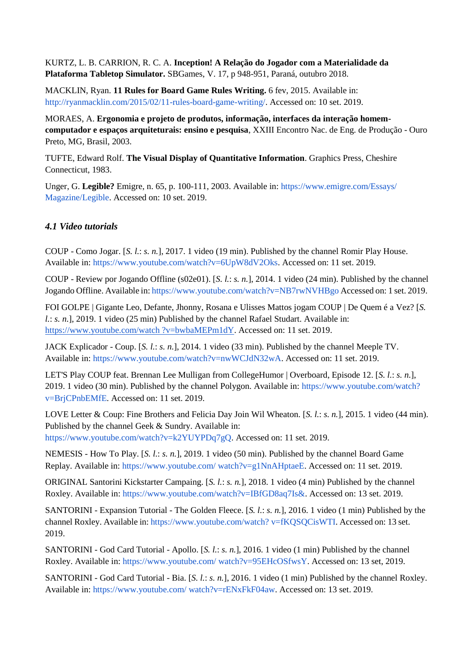KURTZ, L. B. CARRION, R. C. A. **Inception! A Relação do Jogador com a Materialidade da Plataforma Tabletop Simulator.** SBGames, V. 17, p 948-951, Paraná, outubro 2018.

MACKLIN, Ryan. **11 Rules for Board Game Rules Writing.** 6 fev, 2015. Available in: [http://ryanmacklin.com/2015/02/11-rules-board-game-writing/.](http://ryanmacklin.com/2015/02/11-rules-board-game-writing/) Accessed on: 10 set. 2019.

MORAES, A. **Ergonomia e projeto de produtos, informação, interfaces da interação homemcomputador e espaços arquiteturais: ensino e pesquisa**, XXIII Encontro Nac. de Eng. de Produção - Ouro Preto, MG, Brasil, 2003.

TUFTE, Edward Rolf. **The Visual Display of Quantitative Information**. Graphics Press, Cheshire Connecticut, 1983.

Unger, G. **Legible?** Emigre, n. 65, p. 100-111, 2003. Available in: [https://www.emigre.com/Essays/](https://www.emigre.com/Essays/Magazine/Legible)  [Magazine/Legible.](https://www.emigre.com/Essays/Magazine/Legible) Accessed on: 10 set. 2019.

### *4.1 Video tutorials*

COUP - Como Jogar. [*S. l.*: *s. n.*], 2017. 1 video (19 min). Published by the channel Romir Play House. Available in: [https://www.youtube.com/watch?v=6UpW8dV2Oks.](https://www.youtube.com/watch?v=6UpW8dV2Oks) Accessed on: 11 set. 2019.

COUP - Review por Jogando Offline (s02e01). [*S. l.*: *s. n.*], 2014. 1 video (24 min). Published by the channel Jogando Offline. Available in: <https://www.youtube.com/watch?v=NB7rwNVHBgo> Accessed on: 1 set. 2019.

FOI GOLPE | Gigante Leo, Defante, Jhonny, Rosana e Ulisses Mattos jogam COUP | De Quem é a Vez? [*S. l.*: *s. n.*], 2019. 1 video (25 min) Published by the channel Rafael Studart. Available in: [https://www.youtube.com/watch ?v=bwbaMEPm1dY.](https://www.youtube.com/watch?v=bwbaMEPm1dY) Accessed on: 11 set. 2019.

JACK Explicador - Coup. [*S. l.*: *s. n.*], 2014. 1 video (33 min). Published by the channel Meeple TV. Available in: [https://www.youtube.com/watch?v=nwWCJdN32wA.](https://www.youtube.com/watch?v=nwWCJdN32wA) Accessed on: 11 set. 2019.

LET'S Play COUP feat. Brennan Lee Mulligan from CollegeHumor | Overboard, Episode 12. [*S. l.*: *s. n.*], 2019. 1 video (30 min). Published by the channel Polygon. Available in: [https://www.youtube.com/watch?](https://www.youtube.com/watch?v=BrjCPnbEMfE)  [v=BrjCPnbEMfE.](https://www.youtube.com/watch?v=BrjCPnbEMfE) Accessed on: 11 set. 2019.

LOVE Letter & Coup: Fine Brothers and Felicia Day Join Wil Wheaton. [*S. l.*: *s. n.*], 2015. 1 video (44 min). Published by the channel Geek & Sundry. Available in: [https://www.youtube.com/watch?v=k2YUYPDq7gQ.](https://www.youtube.com/watch?v=k2YUYPDq7gQ) Accessed on: 11 set. 2019.

NEMESIS - How To Play. [*S. l.*: *s. n.*], 2019. 1 video (50 min). Published by the channel Board Game Replay. Available in: [https://www.youtube.com/ watch?v=g1NnAHptaeE.](https://www.youtube.com/watch?v=g1NnAHptaeE) Accessed on: 11 set. 2019.

ORIGINAL Santorini Kickstarter Campaing. [*S. l.*: *s. n.*], 2018. 1 video (4 min) Published by the channel Roxley. Available in: [https://www.youtube.com/watch?v=IBfGD8aq7Is&.](https://www.youtube.com/watch?v=IBfGD8aq7Is&) Accessed on: 13 set. 2019.

SANTORINI - Expansion Tutorial - The Golden Fleece. [*S. l.*: *s. n.*], 2016. 1 video (1 min) Published by the channel Roxley. Available in: [https://www.youtube.com/watch? v=fKQSQCisWTI.](https://www.youtube.com/watch?v=fKQSQCisWTI) Accessed on: 13 set. 2019.

SANTORINI - God Card Tutorial - Apollo. [*S. l.*: *s. n.*], 2016. 1 video (1 min) Published by the channel Roxley. Available in: [https://www.youtube.com/ watch?v=95EHcOSfwsY.](https://www.youtube.com/watch?v=95EHcOSfwsY) Accessed on: 13 set, 2019.

SANTORINI - God Card Tutorial - Bia. [*S. l.*: *s. n.*], 2016. 1 video (1 min) Published by the channel Roxley. Available in: [https://www.youtube.com/ watch?v=rENxFkF04aw.](https://www.youtube.com/watch?v=rENxFkF04aw) Accessed on: 13 set. 2019.